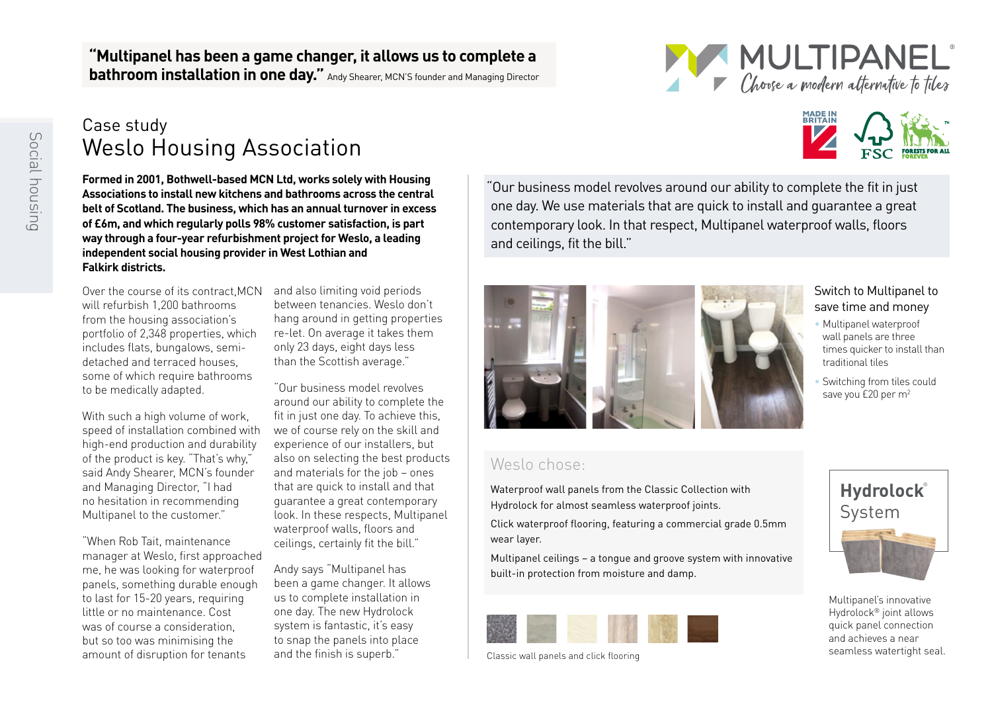#### **"Multipanel has been a game changer, it allows us to complete a bathroom installation in one day."** Andy Shearer, MCN'S founder and Managing Director



## Case study Weslo Housing Association

**Formed in 2001, Bothwell-based MCN Ltd, works solely with Housing Associations to install new kitchens and bathrooms across the central belt of Scotland. The business, which has an annual turnover in excess of £6m, and which regularly polls 98% customer satisfaction, is part way through a four-year refurbishment project for Weslo, a leading independent social housing provider in West Lothian and Falkirk districts.**

Over the course of its contract,MCN will refurbish 1,200 bathrooms from the housing association's portfolio of 2,348 properties, which includes flats, bungalows, semidetached and terraced houses, some of which require bathrooms to be medically adapted.

With such a high volume of work speed of installation combined with high-end production and durability of the product is key. "That's why," said Andy Shearer, MCN's founder and Managing Director, "I had no hesitation in recommending Multipanel to the customer."

"When Rob Tait, maintenance manager at Weslo, first approached me, he was looking for waterproof panels, something durable enough to last for 15-20 years, requiring little or no maintenance. Cost was of course a consideration, but so too was minimising the amount of disruption for tenants

and also limiting void periods between tenancies. Weslo don't hang around in getting properties re-let. On average it takes them only 23 days, eight days less than the Scottish average."

"Our business model revolves around our ability to complete the fit in just one day. To achieve this, we of course rely on the skill and experience of our installers, but also on selecting the best products and materials for the job – ones that are quick to install and that guarantee a great contemporary look. In these respects, Multipanel waterproof walls, floors and ceilings, certainly fit the bill."

Andy says "Multipanel has been a game changer. It allows us to complete installation in one day. The new Hydrolock system is fantastic, it's easy to snap the panels into place and the finish is superb."

"Our business model revolves around our ability to complete the fit in just one day. We use materials that are quick to install and guarantee a great contemporary look. In that respect, Multipanel waterproof walls, floors and ceilings, fit the bill."



### Weslo chose:

Waterproof wall panels from the Classic Collection with Hydrolock for almost seamless waterproof joints.

Click waterproof flooring, featuring a commercial grade 0.5mm wear layer.

Multipanel ceilings – a tongue and groove system with innovative built-in protection from moisture and damp.

Classic wall panels and click flooring





- Multipanel waterproof wall panels are three times quicker to install than traditional tiles
- Switching from tiles could save you £20 per m<sup>2</sup>



Multipanel's innovative Hydrolock® joint allows quick panel connection and achieves a near seamless watertight seal.